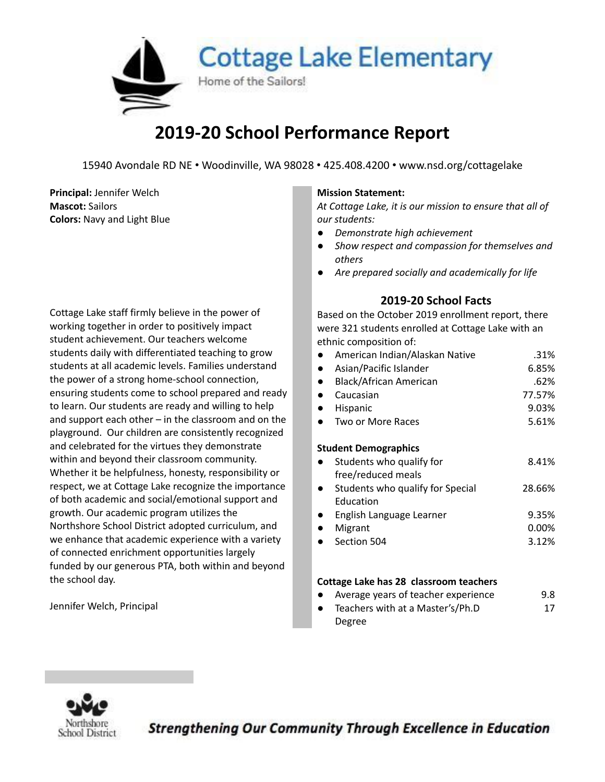

### **2019-20 School Performance Report**

15940 Avondale RD NE • Woodinville, WA 98028 • 425.408.4200 • www.nsd.org/cottagelake

**Principal:** Jennifer Welch **Mission Mission Mission** Statement: **Mascot:** Sailors **Colors:** Navy and Light Blue

Cottage Lake staff firmly believe in the power of working together in order to positively impact student achievement. Our teachers welcome students daily with differentiated teaching to grow students at all academic levels. Families understand the power of a strong home-school connection, ensuring students come to school prepared and ready to learn. Our students are ready and willing to help and support each other – in the classroom and on the playground. Our children are consistently recognized and celebrated for the virtues they demonstrate within and beyond their classroom community. Whether it be helpfulness, honesty, responsibility or respect, we at Cottage Lake recognize the importance of both academic and social/emotional support and growth. Our academic program utilizes the Northshore School District adopted curriculum, and we enhance that academic experience with a variety of connected enrichment opportunities largely funded by our generous PTA, both within and beyond the school day.

Jennifer Welch, Principal

*At Cottage Lake, it is our mission to ensure that all of our students:*

- *● Demonstrate high achievement*
- *● Show respect and compassion for themselves and others*
- *● Are prepared socially and academically for life*

### **2019-20 School Facts**

Based on the October 2019 enrollment report, there were 321 students enrolled at Cottage Lake with an ethnic composition of:

|                             | American Indian/Alaskan Native   | .31%   |  |  |  |  |
|-----------------------------|----------------------------------|--------|--|--|--|--|
|                             | Asian/Pacific Islander           | 6.85%  |  |  |  |  |
| $\bullet$                   | <b>Black/African American</b>    | .62%   |  |  |  |  |
|                             | Caucasian                        | 77.57% |  |  |  |  |
|                             | Hispanic                         | 9.03%  |  |  |  |  |
|                             | Two or More Races                | 5.61%  |  |  |  |  |
|                             |                                  |        |  |  |  |  |
| <b>Student Demographics</b> |                                  |        |  |  |  |  |
|                             | Students who qualify for         | 8.41%  |  |  |  |  |
|                             | free/reduced meals               |        |  |  |  |  |
| $\bullet$                   | Students who qualify for Special | 28.66% |  |  |  |  |
|                             | Education                        |        |  |  |  |  |
|                             | English Language Learner         | 9.35%  |  |  |  |  |
|                             | Migrant                          | 0.00%  |  |  |  |  |

**Section 504** 3.12%

### **Cottage Lake has 28 classroom teachers**

- Average years of teacher experience 9.8
- Teachers with at a Master's/Ph.D Degree 17



**Strengthening Our Community Through Excellence in Education**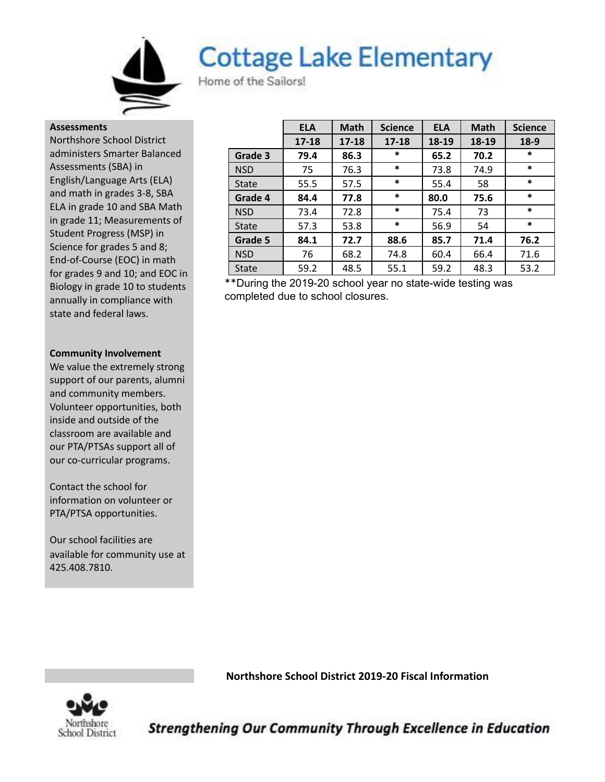# **Cottage Lake Elementary**



Home of the Sailors!

### **Assessments**

Northshore School District administers Smarter Balanced Assessments (SBA) in English/Language Arts (ELA) and math in grades 3-8, SBA ELA in grade 10 and SBA Math in grade 11; Measurements of Student Progress (MSP) in Science for grades 5 and 8; End-of-Course (EOC) in math for grades 9 and 10; and EOC in Biology in grade 10 to students annually in compliance with state and federal laws.

### **Community Involvement**

We value the extremely strong support of our parents, alumni and community members. Volunteer opportunities, both inside and outside of the classroom are available and our PTA/PTSAs support all of our co-curricular programs.

Contact the school for information on volunteer or PTA/PTSA opportunities.

Our school facilities are available for community use at 425.408.7810.

|              | <b>ELA</b> | <b>Math</b> | <b>Science</b> | <b>ELA</b> | <b>Math</b> | <b>Science</b> |
|--------------|------------|-------------|----------------|------------|-------------|----------------|
|              | $17 - 18$  | $17 - 18$   | $17 - 18$      | 18-19      | 18-19       | 18-9           |
| Grade 3      | 79.4       | 86.3        | $\ast$         | 65.2       | 70.2        | $\ast$         |
| <b>NSD</b>   | 75         | 76.3        | $\ast$         | 73.8       | 74.9        | $\ast$         |
| <b>State</b> | 55.5       | 57.5        | $\ast$         | 55.4       | 58          | $\ast$         |
| Grade 4      | 84.4       | 77.8        | $\ast$         | 80.0       | 75.6        | $\ast$         |
| <b>NSD</b>   | 73.4       | 72.8        | $\ast$         | 75.4       | 73          | $\ast$         |
| <b>State</b> | 57.3       | 53.8        | $\ast$         | 56.9       | 54          | $\ast$         |
| Grade 5      | 84.1       | 72.7        | 88.6           | 85.7       | 71.4        | 76.2           |
| <b>NSD</b>   | 76         | 68.2        | 74.8           | 60.4       | 66.4        | 71.6           |
| <b>State</b> | 59.2       | 48.5        | 55.1           | 59.2       | 48.3        | 53.2           |

\*\*During the 2019-20 school year no state-wide testing was completed due to school closures.

**Northshore School District 2019-20 Fiscal Information**



**Strengthening Our Community Through Excellence in Education**